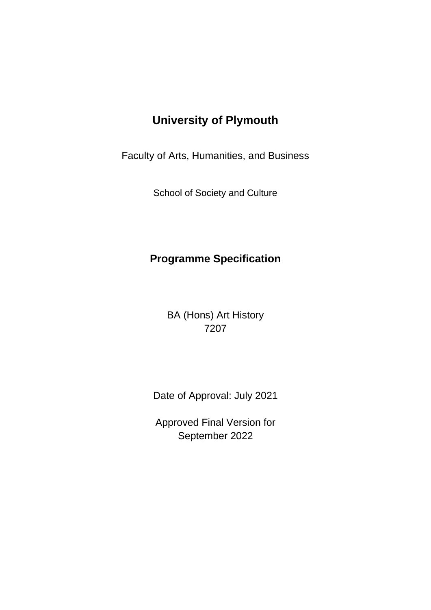# **University of Plymouth**

Faculty of Arts, Humanities, and Business

School of Society and Culture

# **Programme Specification**

BA (Hons) Art History 7207

Date of Approval: July 2021

Approved Final Version for September 2022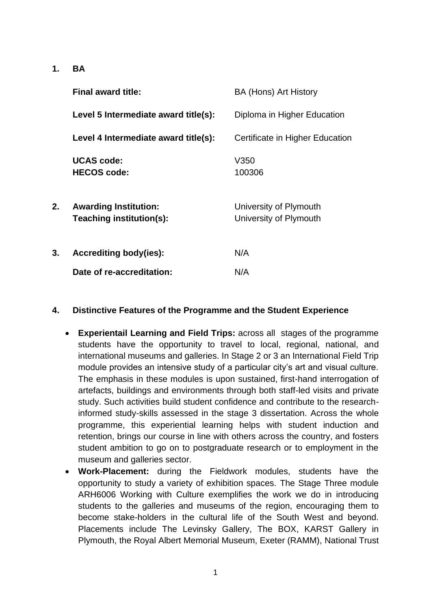**1. BA**

|    | <b>Final award title:</b>                                | <b>BA (Hons) Art History</b>                     |
|----|----------------------------------------------------------|--------------------------------------------------|
|    | Level 5 Intermediate award title(s):                     | Diploma in Higher Education                      |
|    | Level 4 Intermediate award title(s):                     | Certificate in Higher Education                  |
|    | <b>UCAS code:</b><br><b>HECOS code:</b>                  | V350<br>100306                                   |
| 2. | <b>Awarding Institution:</b><br>Teaching institution(s): | University of Plymouth<br>University of Plymouth |
| 3. | <b>Accrediting body(ies):</b>                            | N/A                                              |
|    | Date of re-accreditation:                                | N/A                                              |

#### **4. Distinctive Features of the Programme and the Student Experience**

- **Experientail Learning and Field Trips:** across all stages of the programme students have the opportunity to travel to local, regional, national, and international museums and galleries. In Stage 2 or 3 an International Field Trip module provides an intensive study of a particular city's art and visual culture. The emphasis in these modules is upon sustained, first-hand interrogation of artefacts, buildings and environments through both staff-led visits and private study. Such activities build student confidence and contribute to the researchinformed study-skills assessed in the stage 3 dissertation. Across the whole programme, this experiential learning helps with student induction and retention, brings our course in line with others across the country, and fosters student ambition to go on to postgraduate research or to employment in the museum and galleries sector.
- **Work-Placement:** during the Fieldwork modules, students have the opportunity to study a variety of exhibition spaces. The Stage Three module ARH6006 Working with Culture exemplifies the work we do in introducing students to the galleries and museums of the region, encouraging them to become stake-holders in the cultural life of the South West and beyond. Placements include The Levinsky Gallery, The BOX, KARST Gallery in Plymouth, the Royal Albert Memorial Museum, Exeter (RAMM), National Trust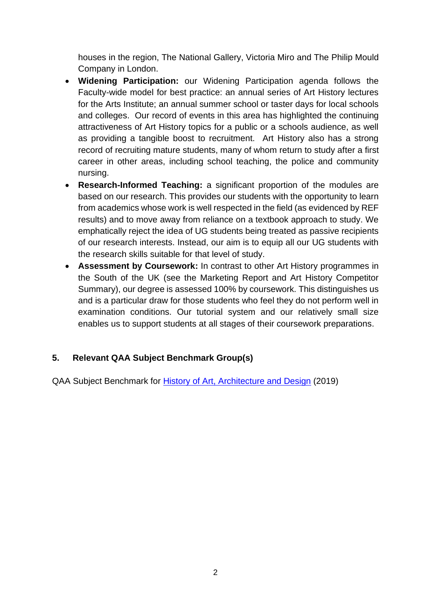houses in the region, The National Gallery, Victoria Miro and The Philip Mould Company in London.

- **Widening Participation:** our Widening Participation agenda follows the Faculty-wide model for best practice: an annual series of Art History lectures for the Arts Institute; an annual summer school or taster days for local schools and colleges. Our record of events in this area has highlighted the continuing attractiveness of Art History topics for a public or a schools audience, as well as providing a tangible boost to recruitment. Art History also has a strong record of recruiting mature students, many of whom return to study after a first career in other areas, including school teaching, the police and community nursing.
- **Research-Informed Teaching:** a significant proportion of the modules are based on our research. This provides our students with the opportunity to learn from academics whose work is well respected in the field (as evidenced by REF results) and to move away from reliance on a textbook approach to study. We emphatically reject the idea of UG students being treated as passive recipients of our research interests. Instead, our aim is to equip all our UG students with the research skills suitable for that level of study.
- **Assessment by Coursework:** In contrast to other Art History programmes in the South of the UK (see the Marketing Report and Art History Competitor Summary), our degree is assessed 100% by coursework. This distinguishes us and is a particular draw for those students who feel they do not perform well in examination conditions. Our tutorial system and our relatively small size enables us to support students at all stages of their coursework preparations.

# **5. Relevant QAA Subject Benchmark Group(s)**

QAA Subject Benchmark for [History of Art, Architecture and Design](https://www.qaa.ac.uk/quality-code/subject-benchmark-statements?indexCatalogue=document-search&searchQuery=Art%20History&wordsMode=AllWords) (2019)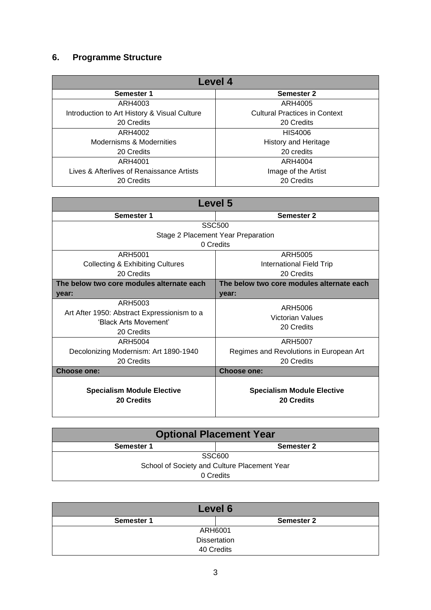# **6. Programme Structure**

| Level 4                                      |                                      |  |  |  |  |  |  |  |  |  |  |  |
|----------------------------------------------|--------------------------------------|--|--|--|--|--|--|--|--|--|--|--|
| Semester 1                                   | Semester 2                           |  |  |  |  |  |  |  |  |  |  |  |
| ARH4003                                      | ARH4005                              |  |  |  |  |  |  |  |  |  |  |  |
| Introduction to Art History & Visual Culture | <b>Cultural Practices in Context</b> |  |  |  |  |  |  |  |  |  |  |  |
| 20 Credits                                   | 20 Credits                           |  |  |  |  |  |  |  |  |  |  |  |
| ARH4002                                      | <b>HIS4006</b>                       |  |  |  |  |  |  |  |  |  |  |  |
| Modernisms & Modernities                     | <b>History and Heritage</b>          |  |  |  |  |  |  |  |  |  |  |  |
| 20 Credits                                   | 20 credits                           |  |  |  |  |  |  |  |  |  |  |  |
| ARH4001                                      | ARH4004                              |  |  |  |  |  |  |  |  |  |  |  |
| Lives & Afterlives of Renaissance Artists    | Image of the Artist                  |  |  |  |  |  |  |  |  |  |  |  |
| 20 Credits                                   | 20 Credits                           |  |  |  |  |  |  |  |  |  |  |  |

| Level 5                                                                                       |                                                 |  |  |  |  |  |  |  |  |  |  |  |
|-----------------------------------------------------------------------------------------------|-------------------------------------------------|--|--|--|--|--|--|--|--|--|--|--|
| Semester 1                                                                                    | Semester 2                                      |  |  |  |  |  |  |  |  |  |  |  |
|                                                                                               | <b>SSC500</b>                                   |  |  |  |  |  |  |  |  |  |  |  |
|                                                                                               | Stage 2 Placement Year Preparation              |  |  |  |  |  |  |  |  |  |  |  |
|                                                                                               | 0 Credits                                       |  |  |  |  |  |  |  |  |  |  |  |
| ARH5001                                                                                       | ARH5005                                         |  |  |  |  |  |  |  |  |  |  |  |
| <b>Collecting &amp; Exhibiting Cultures</b>                                                   | <b>International Field Trip</b>                 |  |  |  |  |  |  |  |  |  |  |  |
| 20 Credits                                                                                    | 20 Credits                                      |  |  |  |  |  |  |  |  |  |  |  |
| The below two core modules alternate each                                                     | The below two core modules alternate each       |  |  |  |  |  |  |  |  |  |  |  |
| year:                                                                                         | year:                                           |  |  |  |  |  |  |  |  |  |  |  |
| ARH5003<br>Art After 1950: Abstract Expressionism to a<br>'Black Arts Movement'<br>20 Credits | ARH5006<br>Victorian Values<br>20 Credits       |  |  |  |  |  |  |  |  |  |  |  |
| ARH5004                                                                                       | <b>ARH5007</b>                                  |  |  |  |  |  |  |  |  |  |  |  |
| Decolonizing Modernism: Art 1890-1940                                                         | Regimes and Revolutions in European Art         |  |  |  |  |  |  |  |  |  |  |  |
| 20 Credits                                                                                    | 20 Credits                                      |  |  |  |  |  |  |  |  |  |  |  |
| <b>Choose one:</b>                                                                            | <b>Choose one:</b>                              |  |  |  |  |  |  |  |  |  |  |  |
| <b>Specialism Module Elective</b><br>20 Credits                                               | <b>Specialism Module Elective</b><br>20 Credits |  |  |  |  |  |  |  |  |  |  |  |

| <b>Optional Placement Year</b>               |                   |  |  |  |  |  |  |  |  |  |  |
|----------------------------------------------|-------------------|--|--|--|--|--|--|--|--|--|--|
| Semester 1                                   | <b>Semester 2</b> |  |  |  |  |  |  |  |  |  |  |
| SSC600                                       |                   |  |  |  |  |  |  |  |  |  |  |
| School of Society and Culture Placement Year |                   |  |  |  |  |  |  |  |  |  |  |
| 0 Credits                                    |                   |  |  |  |  |  |  |  |  |  |  |

| Level 6    |                     |  |  |  |  |  |  |  |  |  |  |
|------------|---------------------|--|--|--|--|--|--|--|--|--|--|
| Semester 1 | <b>Semester 2</b>   |  |  |  |  |  |  |  |  |  |  |
|            | ARH6001             |  |  |  |  |  |  |  |  |  |  |
|            | <b>Dissertation</b> |  |  |  |  |  |  |  |  |  |  |
|            | 40 Credits          |  |  |  |  |  |  |  |  |  |  |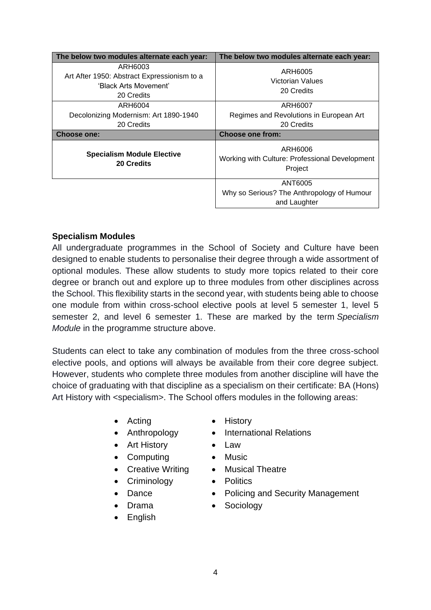| The below two modules alternate each year:                                                    | The below two modules alternate each year:                |  |  |  |  |  |
|-----------------------------------------------------------------------------------------------|-----------------------------------------------------------|--|--|--|--|--|
| ARH6003<br>Art After 1950: Abstract Expressionism to a<br>'Black Arts Movement'<br>20 Credits | ARH6005<br>Victorian Values<br>20 Credits                 |  |  |  |  |  |
| ARH6004                                                                                       | ARH6007                                                   |  |  |  |  |  |
| Decolonizing Modernism: Art 1890-1940<br>20 Credits                                           | Regimes and Revolutions in European Art<br>20 Credits     |  |  |  |  |  |
| <b>Choose one:</b>                                                                            | <b>Choose one from:</b>                                   |  |  |  |  |  |
| <b>Specialism Module Elective</b>                                                             | ARH6006                                                   |  |  |  |  |  |
| <b>20 Credits</b>                                                                             | Working with Culture: Professional Development<br>Project |  |  |  |  |  |
|                                                                                               | ANT6005                                                   |  |  |  |  |  |

#### **Specialism Modules**

All undergraduate programmes in the School of Society and Culture have been designed to enable students to personalise their degree through a wide assortment of optional modules. These allow students to study more topics related to their core degree or branch out and explore up to three modules from other disciplines across the School. This flexibility starts in the second year, with students being able to choose one module from within cross-school elective pools at level 5 semester 1, level 5 semester 2, and level 6 semester 1. These are marked by the term *Specialism Module* in the programme structure above.

Students can elect to take any combination of modules from the three cross-school elective pools, and options will always be available from their core degree subject. However, students who complete three modules from another discipline will have the choice of graduating with that discipline as a specialism on their certificate: BA (Hons) Art History with <specialism>. The School offers modules in the following areas:

- 
- 
- Art History Law
- Computing Music
- Creative Writing Musical Theatre
- Criminology Politics
- 
- 
- English
- Acting History
- Anthropology International Relations
	-
	-
	-
	-
- Dance Policing and Security Management
	- Drama Sociology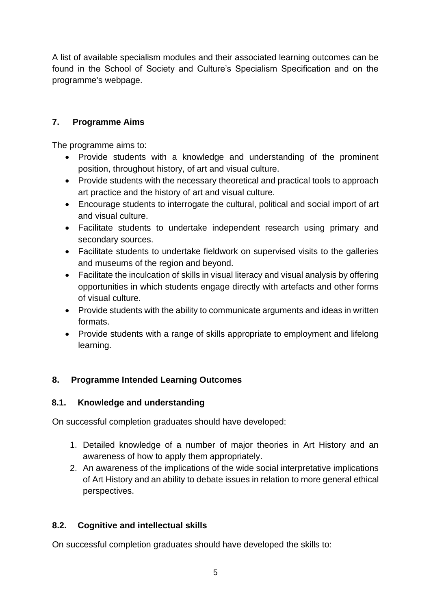A list of available specialism modules and their associated learning outcomes can be found in the School of Society and Culture's Specialism Specification and on the programme's webpage.

# **7. Programme Aims**

The programme aims to:

- Provide students with a knowledge and understanding of the prominent position, throughout history, of art and visual culture.
- Provide students with the necessary theoretical and practical tools to approach art practice and the history of art and visual culture.
- Encourage students to interrogate the cultural, political and social import of art and visual culture.
- Facilitate students to undertake independent research using primary and secondary sources.
- Facilitate students to undertake fieldwork on supervised visits to the galleries and museums of the region and beyond.
- Facilitate the inculcation of skills in visual literacy and visual analysis by offering opportunities in which students engage directly with artefacts and other forms of visual culture.
- Provide students with the ability to communicate arguments and ideas in written formats.
- Provide students with a range of skills appropriate to employment and lifelong learning.

# **8. Programme Intended Learning Outcomes**

# **8.1. Knowledge and understanding**

On successful completion graduates should have developed:

- 1. Detailed knowledge of a number of major theories in Art History and an awareness of how to apply them appropriately.
- 2. An awareness of the implications of the wide social interpretative implications of Art History and an ability to debate issues in relation to more general ethical perspectives.

# **8.2. Cognitive and intellectual skills**

On successful completion graduates should have developed the skills to: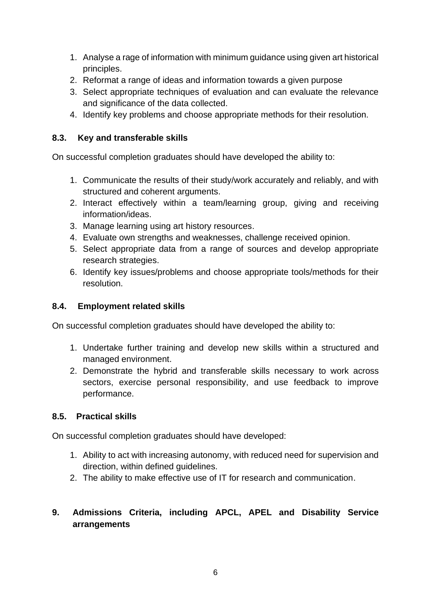- 1. Analyse a rage of information with minimum guidance using given art historical principles.
- 2. Reformat a range of ideas and information towards a given purpose
- 3. Select appropriate techniques of evaluation and can evaluate the relevance and significance of the data collected.
- 4. Identify key problems and choose appropriate methods for their resolution.

#### **8.3. Key and transferable skills**

On successful completion graduates should have developed the ability to:

- 1. Communicate the results of their study/work accurately and reliably, and with structured and coherent arguments.
- 2. Interact effectively within a team/learning group, giving and receiving information/ideas.
- 3. Manage learning using art history resources.
- 4. Evaluate own strengths and weaknesses, challenge received opinion.
- 5. Select appropriate data from a range of sources and develop appropriate research strategies.
- 6. Identify key issues/problems and choose appropriate tools/methods for their resolution.

#### **8.4. Employment related skills**

On successful completion graduates should have developed the ability to:

- 1. Undertake further training and develop new skills within a structured and managed environment.
- 2. Demonstrate the hybrid and transferable skills necessary to work across sectors, exercise personal responsibility, and use feedback to improve performance.

#### **8.5. Practical skills**

On successful completion graduates should have developed:

- 1. Ability to act with increasing autonomy, with reduced need for supervision and direction, within defined guidelines.
- 2. The ability to make effective use of IT for research and communication.

#### **9. Admissions Criteria, including APCL, APEL and Disability Service arrangements**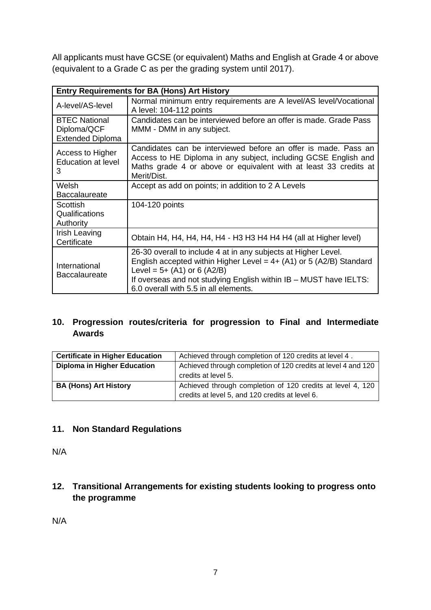All applicants must have GCSE (or equivalent) Maths and English at Grade 4 or above (equivalent to a Grade C as per the grading system until 2017).

| <b>Entry Requirements for BA (Hons) Art History</b>            |                                                                                                                                                                                                                                                                                        |  |  |  |  |  |  |  |  |  |  |
|----------------------------------------------------------------|----------------------------------------------------------------------------------------------------------------------------------------------------------------------------------------------------------------------------------------------------------------------------------------|--|--|--|--|--|--|--|--|--|--|
| A-level/AS-level                                               | Normal minimum entry requirements are A level/AS level/Vocational<br>A level: 104-112 points                                                                                                                                                                                           |  |  |  |  |  |  |  |  |  |  |
| <b>BTEC National</b><br>Diploma/QCF<br><b>Extended Diploma</b> | Candidates can be interviewed before an offer is made. Grade Pass<br>MMM - DMM in any subject.                                                                                                                                                                                         |  |  |  |  |  |  |  |  |  |  |
| Access to Higher<br><b>Education at level</b><br>3             | Candidates can be interviewed before an offer is made. Pass an<br>Access to HE Diploma in any subject, including GCSE English and<br>Maths grade 4 or above or equivalent with at least 33 credits at<br>Merit/Dist.                                                                   |  |  |  |  |  |  |  |  |  |  |
| Welsh<br><b>Baccalaureate</b>                                  | Accept as add on points; in addition to 2 A Levels                                                                                                                                                                                                                                     |  |  |  |  |  |  |  |  |  |  |
| Scottish<br>Qualifications<br>Authority                        | 104-120 points                                                                                                                                                                                                                                                                         |  |  |  |  |  |  |  |  |  |  |
| Irish Leaving<br>Certificate                                   | Obtain H4, H4, H4, H4, H4 - H3 H3 H4 H4 H4 (all at Higher level)                                                                                                                                                                                                                       |  |  |  |  |  |  |  |  |  |  |
| International<br><b>Baccalaureate</b>                          | 26-30 overall to include 4 at in any subjects at Higher Level.<br>English accepted within Higher Level = $4+$ (A1) or 5 (A2/B) Standard<br>Level = $5+$ (A1) or 6 (A2/B)<br>If overseas and not studying English within IB - MUST have IELTS:<br>6.0 overall with 5.5 in all elements. |  |  |  |  |  |  |  |  |  |  |

# **10. Progression routes/criteria for progression to Final and Intermediate Awards**

| <b>Certificate in Higher Education</b> | Achieved through completion of 120 credits at level 4.        |  |  |  |  |
|----------------------------------------|---------------------------------------------------------------|--|--|--|--|
| <b>Diploma in Higher Education</b>     | Achieved through completion of 120 credits at level 4 and 120 |  |  |  |  |
|                                        | credits at level 5.                                           |  |  |  |  |
| <b>BA (Hons) Art History</b>           | Achieved through completion of 120 credits at level 4, 120    |  |  |  |  |
|                                        | credits at level 5, and 120 credits at level 6.               |  |  |  |  |

#### **11. Non Standard Regulations**

N/A

# **12. Transitional Arrangements for existing students looking to progress onto the programme**

N/A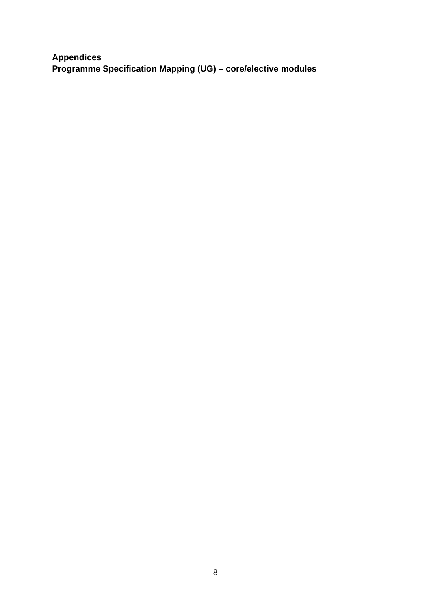**Appendices Programme Specification Mapping (UG) – core/elective modules**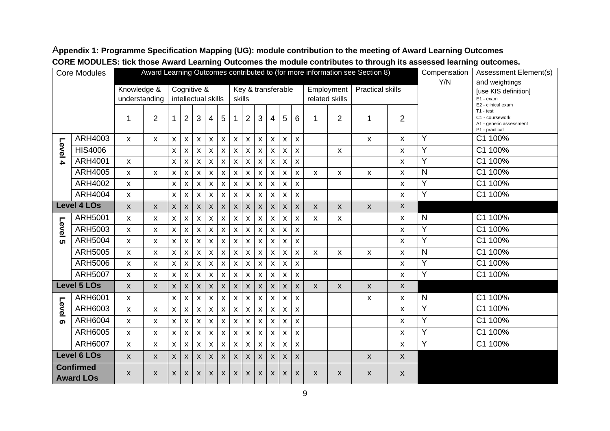| <b>Core Modules</b>                  |                    |                              | Award Learning Outcomes contributed to (for more information see Section 8) |              |                                    |                           |                           |                    |                    |                    |                    |                    |                              |                           |                           |                | Compensation       | Assessment Element(s)                               |              |                                                                                                   |
|--------------------------------------|--------------------|------------------------------|-----------------------------------------------------------------------------|--------------|------------------------------------|---------------------------|---------------------------|--------------------|--------------------|--------------------|--------------------|--------------------|------------------------------|---------------------------|---------------------------|----------------|--------------------|-----------------------------------------------------|--------------|---------------------------------------------------------------------------------------------------|
|                                      |                    | Knowledge &<br>understanding |                                                                             |              | Cognitive &<br>intellectual skills |                           | skills                    |                    |                    |                    | Key & transferable |                    | Employment<br>related skills |                           | <b>Practical skills</b>   |                | Y/N                | and weightings<br>[use KIS definition]<br>E1 - exam |              |                                                                                                   |
|                                      |                    | 1                            | $\overline{2}$                                                              | 1            | $\overline{2}$                     | 3                         | 4                         | 5                  | 1                  | 2                  | 3                  | 4                  | 5                            | 6                         | 1                         | $\overline{2}$ | 1                  | $\overline{2}$                                      |              | E2 - clinical exam<br>$T1 - test$<br>C1 - coursework<br>A1 - generic assessment<br>P1 - practical |
|                                      | ARH4003            | $\pmb{\chi}$                 | X                                                                           | X            | $\pmb{\mathsf{X}}$                 | $\pmb{\mathsf{X}}$        | $\pmb{\times}$            | $\pmb{\mathsf{X}}$ | $\pmb{\mathsf{X}}$ | $\mathsf X$        | $\pmb{\mathsf{X}}$ | $\pmb{\mathsf{X}}$ | $\pmb{\mathsf{X}}$           | $\pmb{\times}$            |                           |                | X                  | $\pmb{\mathsf{X}}$                                  | Y            | C1 100%                                                                                           |
| Level                                | <b>HIS4006</b>     |                              |                                                                             | X            | X                                  | $\pmb{\times}$            | $\pmb{\times}$            | X                  | $\pmb{\times}$     | $\mathsf{x}$       | $\pmb{\mathsf{X}}$ | $\pmb{\mathsf{X}}$ | X                            | $\boldsymbol{\mathsf{x}}$ |                           | X              |                    | X                                                   | Y            | C1 100%                                                                                           |
| 4                                    | ARH4001            | X                            |                                                                             | X            | X                                  | $\boldsymbol{\mathsf{x}}$ | X                         | X                  | X                  | X                  | X                  | X                  | x                            | $\pmb{\times}$            |                           |                |                    | X                                                   | Y            | C1 100%                                                                                           |
|                                      | <b>ARH4005</b>     | X                            | X                                                                           | X            | $\pmb{\mathsf{X}}$                 | $\pmb{\chi}$              | $\pmb{\mathsf{X}}$        | $\pmb{\mathsf{X}}$ | $\pmb{\mathsf{X}}$ | $\pmb{\mathsf{X}}$ | $\pmb{\mathsf{X}}$ | $\pmb{\mathsf{X}}$ | $\pmb{\mathsf{x}}$           | X                         | X                         | X              | X                  | X                                                   | N            | C1 100%                                                                                           |
|                                      | ARH4002            | X                            |                                                                             | X            | $\pmb{\mathsf{X}}$                 | X                         | $\pmb{\times}$            | $\pmb{\mathsf{X}}$ | $\pmb{\mathsf{X}}$ | $\pmb{\mathsf{X}}$ | $\pmb{\mathsf{X}}$ | $\pmb{\mathsf{X}}$ | X                            | $\pmb{\mathsf{X}}$        |                           |                |                    | $\pmb{\mathsf{X}}$                                  | Y            | C1 100%                                                                                           |
|                                      | ARH4004            | X                            |                                                                             | X            | X                                  | X                         | X                         | X                  | $\mathsf{x}$       | $\pmb{\chi}$       | X                  | X                  | X                            | $\pmb{\mathsf{X}}$        |                           |                |                    | X                                                   | Y            | C1 100%                                                                                           |
|                                      | <b>Level 4 LOs</b> |                              | X                                                                           | X            | X                                  | $\pmb{\chi}$              | $\mathsf X$               | X                  | $\pmb{\times}$     | X                  | X                  | $\pmb{\mathsf{X}}$ | $\pmb{\mathsf{X}}$           | $\boldsymbol{\mathsf{x}}$ | $\mathsf{x}$              | X              | $\pmb{\mathsf{X}}$ | $\mathsf{X}$                                        |              |                                                                                                   |
|                                      | <b>ARH5001</b>     | X                            | $\pmb{\mathsf{X}}$                                                          | X            | X                                  | $\pmb{\chi}$              | X                         | X                  | $\pmb{\times}$     | $\pmb{\mathsf{X}}$ | X                  | $\pmb{\mathsf{X}}$ | $\pmb{\chi}$                 | X                         | X                         | X              |                    | X                                                   | N            | C1 100%                                                                                           |
| Level                                | ARH5003            | $\mathsf{x}$                 | X                                                                           | X            | $\mathsf{x}$                       | X                         | X                         | X                  | $\pmb{\mathsf{X}}$ | X                  | $\pmb{\mathsf{x}}$ | X                  | X                            | X                         |                           |                |                    | X                                                   | Y            | C1 100%                                                                                           |
| ທ                                    | <b>ARH5004</b>     | $\pmb{\times}$               | $\pmb{\mathsf{X}}$                                                          | X            | X                                  | $\boldsymbol{\mathsf{x}}$ | $\pmb{\times}$            | $\pmb{\mathsf{X}}$ | $\mathsf{x}$       | $\mathsf{x}$       | $\pmb{\times}$     | $\pmb{\times}$     | $\pmb{\times}$               | $\mathsf{x}$              |                           |                |                    | X                                                   | Y            | C1 100%                                                                                           |
|                                      | <b>ARH5005</b>     | X                            | X                                                                           | X            | $\pmb{\mathsf{X}}$                 | $\pmb{\chi}$              | $\pmb{\mathsf{X}}$        | $\pmb{\mathsf{X}}$ | $\pmb{\times}$     | $\mathsf{x}$       | $\pmb{\mathsf{X}}$ | $\pmb{\times}$     | $\pmb{\times}$               | $\pmb{\mathsf{X}}$        | X                         | X              | X                  | X                                                   | N            | C1 100%                                                                                           |
|                                      | ARH5006            | X                            | X                                                                           | X            | X                                  | $\boldsymbol{\mathsf{x}}$ | X                         | X                  | X                  | X                  | X                  | $\pmb{\times}$     | X                            | X                         |                           |                |                    | X                                                   | Y            | C1 100%                                                                                           |
|                                      | <b>ARH5007</b>     | X                            | X                                                                           | X            | X                                  | X                         | X                         | X                  | $\mathsf{x}$       | X                  | X                  | X                  | X                            | $\pmb{\mathsf{X}}$        |                           |                |                    | X                                                   | Y            | C1 100%                                                                                           |
|                                      | <b>Level 5 LOs</b> | X                            | $\pmb{\mathsf{X}}$                                                          | X            | $\mathsf{X}^-$                     | $\pmb{\mathsf{X}}$        | $\pmb{\times}$            | $\pmb{\mathsf{X}}$ | $\pmb{\mathsf{X}}$ | $\pmb{\mathsf{X}}$ | $\pmb{\mathsf{X}}$ | $\pmb{\mathsf{x}}$ | $\pmb{\times}$               | $\pmb{\mathsf{X}}$        | $\boldsymbol{\mathsf{X}}$ | X              | $\pmb{\mathsf{X}}$ | $\pmb{\mathsf{X}}$                                  |              |                                                                                                   |
|                                      | ARH6001            | X                            |                                                                             | X            | X                                  | X                         | $\boldsymbol{\mathsf{X}}$ | X                  | $\pmb{\mathsf{x}}$ | $\pmb{\mathsf{X}}$ | $\pmb{\mathsf{x}}$ | X                  | X                            | X                         |                           |                | X                  | X                                                   | $\mathsf{N}$ | C1 100%                                                                                           |
| Level                                | ARH6003            | X                            | X                                                                           | X            | X                                  | X                         | X                         | X                  | $\pmb{\mathsf{x}}$ | $\pmb{\mathsf{X}}$ | $\pmb{\mathsf{x}}$ | X                  | X                            | X                         |                           |                |                    | X                                                   | Y            | C1 100%                                                                                           |
| ග                                    | ARH6004            | X                            | X                                                                           | $\mathsf{x}$ | $\mathsf{x}$                       | $\boldsymbol{\mathsf{x}}$ | X                         | $\pmb{\times}$     | $\mathsf{x}$       | $\mathsf{x}$       | $\pmb{\times}$     | X                  | X                            | $\mathsf{x}$              |                           |                |                    | X                                                   | Y            | C1 100%                                                                                           |
|                                      | ARH6005            | X                            | X                                                                           | X            | $\pmb{\mathsf{X}}$                 | $\pmb{\mathsf{X}}$        | X                         | $\pmb{\mathsf{X}}$ | $\pmb{\times}$     | $\mathsf{x}$       | $\pmb{\mathsf{x}}$ | $\pmb{\mathsf{X}}$ | $\pmb{\mathsf{x}}$           | $\pmb{\mathsf{X}}$        |                           |                |                    | X                                                   | Y            | C1 100%                                                                                           |
|                                      | ARH6007            | X                            | $\pmb{\mathsf{X}}$                                                          | $\mathsf{x}$ | $\pmb{\mathsf{X}}$                 | $\pmb{\chi}$              | $\pmb{\mathsf{X}}$        | $\pmb{\mathsf{X}}$ | $\pmb{\mathsf{X}}$ | $\pmb{\chi}$       | $\pmb{\mathsf{X}}$ | $\pmb{\times}$     | X                            | $\pmb{\times}$            |                           |                |                    | X                                                   | Υ            | C1 100%                                                                                           |
| <b>Level 6 LOs</b>                   |                    | X                            | X                                                                           | X            | $\mathsf{x}$                       | $\pmb{\chi}$              | X                         | X                  | $\pmb{\mathsf{X}}$ | X                  | $\pmb{\mathsf{x}}$ | $\pmb{\mathsf{X}}$ | X                            | $\pmb{\times}$            |                           |                | $\mathsf{x}$       | X                                                   |              |                                                                                                   |
| <b>Confirmed</b><br><b>Award LOs</b> |                    | X                            | X                                                                           | X            | X                                  | X                         | X                         | X                  | X                  | X                  | X                  | $\mathsf{X}$       | X                            | X                         | X                         | X              | X                  | X                                                   |              |                                                                                                   |

A**ppendix 1: Programme Specification Mapping (UG): module contribution to the meeting of Award Learning Outcomes CORE MODULES: tick those Award Learning Outcomes the module contributes to through its assessed learning outcomes.**